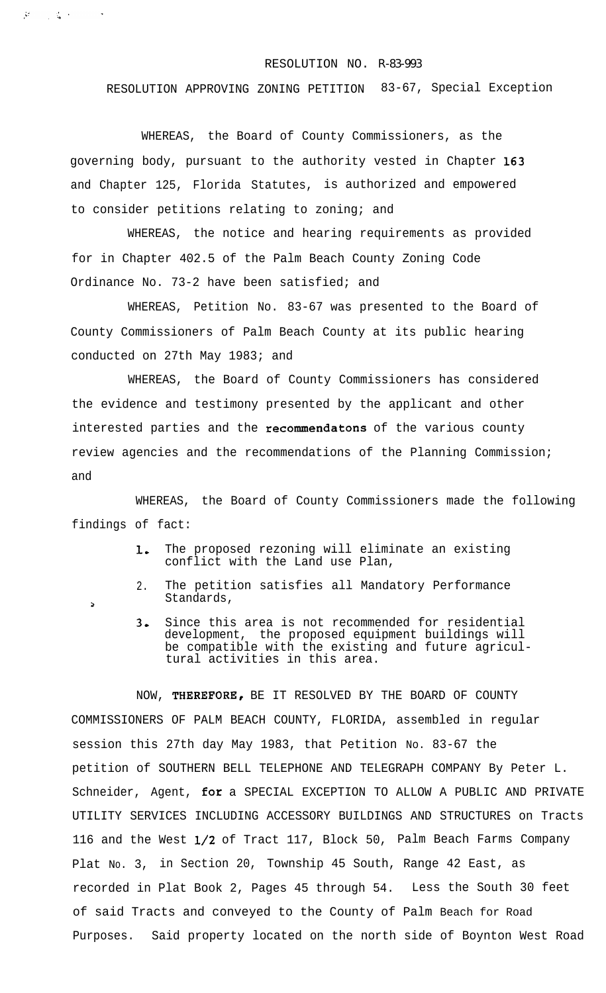## RESOLUTION NO. R-83-993

RESOLUTION APPROVING ZONING PETITION 83-67, Special Exception

WHEREAS, the Board of County Commissioners, as the governing body, pursuant to the authority vested in Chapter 163 and Chapter 125, Florida Statutes, is authorized and empowered to consider petitions relating to zoning; and

 $M_{\rm H}$  ,  $\sim$  10  $M_{\rm H}$  ,  $\sim$ 

 $\Delta$ 

WHEREAS, the notice and hearing requirements as provided for in Chapter 402.5 of the Palm Beach County Zoning Code Ordinance No. 73-2 have been satisfied; and

WHEREAS, Petition No. 83-67 was presented to the Board of County Commissioners of Palm Beach County at its public hearing conducted on 27th May 1983; and

WHEREAS, the Board of County Commissioners has considered the evidence and testimony presented by the applicant and other interested parties and the recommendatons of the various county review agencies and the recommendations of the Planning Commission; and

WHEREAS, the Board of County Commissioners made the following findings of fact:

- 1. The proposed rezoning will eliminate an existing conflict with the Land use Plan,
- 2. The petition satisfies all Mandatory Performance Standards,
- 3. Since this area is not recommended for residential development, the proposed equipment buildings will be compatible with the existing and future agricultural activities in this area.

NOW, THEREFORE, BE IT RESOLVED BY THE BOARD OF COUNTY COMMISSIONERS OF PALM BEACH COUNTY, FLORIDA, assembled in regular session this 27th day May 1983, that Petition No. 83-67 the petition of SOUTHERN BELL TELEPHONE AND TELEGRAPH COMPANY By Peter L. Schneider, Agent, for a SPECIAL EXCEPTION TO ALLOW A PUBLIC AND PRIVATE UTILITY SERVICES INCLUDING ACCESSORY BUILDINGS AND STRUCTURES on Tracts 116 and the West l/2 of Tract 117, Block 50, Palm Beach Farms Company Plat No. 3, in Section 20, Township 45 South, Range 42 East, as recorded in Plat Book 2, Pages 45 through 54. Less the South 30 feet of said Tracts and conveyed to the County of Palm Beach for Road Purposes. Said property located on the north side of Boynton West Road